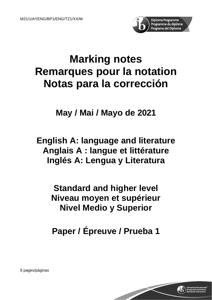

# **Marking notes Remarques pour la notation Notas para la corrección**

**May / Mai / Mayo de 2021**

**English A: language and literature Anglais A : langue et littérature Inglés A: Lengua y Literatura**

> **Standard and higher level Niveau moyen et supérieur Nivel Medio y Superior**

**Paper / Épreuve / Prueba 1**

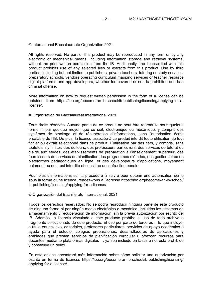© International Baccalaureate Organization 2021

All rights reserved. No part of this product may be reproduced in any form or by any electronic or mechanical means, including information storage and retrieval systems, without the prior written permission from the IB. Additionally, the license tied with this product prohibits use of any selected files or extracts from this product. Use by third parties, including but not limited to publishers, private teachers, tutoring or study services, preparatory schools, vendors operating curriculum mapping services or teacher resource digital platforms and app developers, whether fee-covered or not, is prohibited and is a criminal offense.

More information on how to request written permission in the form of a license can be obtained from https://ibo.org/become-an-ib-school/ib-publishing/licensing/applying-for-alicense/.

© Organisation du Baccalauréat International 2021

Tous droits réservés. Aucune partie de ce produit ne peut être reproduite sous quelque forme ni par quelque moyen que ce soit, électronique ou mécanique, y compris des systèmes de stockage et de récupération d'informations, sans l'autorisation écrite préalable de l'IB. De plus, la licence associée à ce produit interdit toute utilisation de tout fichier ou extrait sélectionné dans ce produit. L'utilisation par des tiers, y compris, sans toutefois s'y limiter, des éditeurs, des professeurs particuliers, des services de tutorat ou d'aide aux études, des établissements de préparation à l'enseignement supérieur, des fournisseurs de services de planification des programmes d'études, des gestionnaires de plateformes pédagogiques en ligne, et des développeurs d'applications, moyennant paiement ou non, est interdite et constitue une infraction pénale.

Pour plus d'informations sur la procédure à suivre pour obtenir une autorisation écrite sous la forme d'une licence, rendez-vous à l'adresse https://ibo.org/become-an-ib-school/ ib-publishing/licensing/applying-for-a-license/.

© Organización del Bachillerato Internacional, 2021

Todos los derechos reservados. No se podrá reproducir ninguna parte de este producto de ninguna forma ni por ningún medio electrónico o mecánico, incluidos los sistemas de almacenamiento y recuperación de información, sin la previa autorización por escrito del IB. Además, la licencia vinculada a este producto prohíbe el uso de todo archivo o fragmento seleccionado de este producto. El uso por parte de terceros —lo que incluye, a título enunciativo, editoriales, profesores particulares, servicios de apoyo académico o ayuda para el estudio, colegios preparatorios, desarrolladores de aplicaciones y entidades que presten servicios de planificación curricular u ofrezcan recursos para docentes mediante plataformas digitales—, ya sea incluido en tasas o no, está prohibido y constituye un delito.

En este enlace encontrará más información sobre cómo solicitar una autorización por escrito en forma de licencia: https://ibo.org/become-an-ib-school/ib-publishing/licensing/ applying-for-a-license/.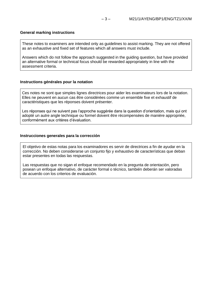## **General marking instructions**

These notes to examiners are intended only as guidelines to assist marking. They are not offered as an exhaustive and fixed set of features which all answers must include.

Answers which do not follow the approach suggested in the guiding question, but have provided an alternative formal or technical focus should be rewarded appropriately in line with the assessment criteria.

## **Instructions générales pour la notation**

Ces notes ne sont que simples lignes directrices pour aider les examinateurs lors de la notation. Elles ne peuvent en aucun cas être considérées comme un ensemble fixe et exhaustif de caractéristiques que les réponses doivent présenter.

Les réponses qui ne suivent pas l'approche suggérée dans la question d'orientation, mais qui ont adopté un autre angle technique ou formel doivent être récompensées de manière appropriée, conformément aux critères d'évaluation.

#### **Instrucciones generales para la corrección**

El objetivo de estas notas para los examinadores es servir de directrices a fin de ayudar en la corrección. No deben considerarse un conjunto fijo y exhaustivo de características que deban estar presentes en todas las respuestas.

Las respuestas que no sigan el enfoque recomendado en la pregunta de orientación, pero posean un enfoque alternativo, de carácter formal o técnico, también deberán ser valoradas de acuerdo con los criterios de evaluación.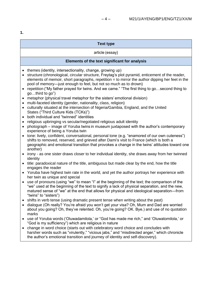**1.**

# **Text type**

#### article (essay)

## **Elements of the text significant for analysis**

- themes (identity, intersectionality, change, growing up)
- structure (chronological, circular structure, Freytag's plot pyramid, enticement of the reader, elements of memoir, short paragraphs, repetition  $=$  to mirror the author dipping her feet in the pool of memory—just enough to feel, but not so much as to drown)
- repetition ("My father prayed for twins. And we came." "The first thing to go...second thing to go…third to go")
- metaphor (physical travel metaphor for the sisters' emotional division)
- multi-faceted identity (gender, nationality, class, religion)
- culturally situated at the intersection of Nigeria/Gambia, England, and the United States ("Third Culture Kids (TCKs)")
- both individual and "twinned" identities
- religious upbringing vs secular/negotiated religious adult identity
- photograph image of Yoruba twins in museum juxtaposed with the author's contemporary experience of being a Yoruba twin
- tone: lively, confident, conversational, personal tone (e.g. "enamored of our own cuteness") shifts to removed, reserved, and grieved after Dami's visit to France (which is both a geographic and emotional transition that provokes a change in the twins' attitudes toward one another)
- irony as one sister draws closer to her individual identity, she draws away from her twinned identity
- title: paradoxical nature of the title, ambiguous but made clear by the end, how the title engages the reader
- Yoruba have highest twin rate in the world, and yet the author portrays her experience with her twin as unique and special
- use of pronouns (using "we" to mean "I" at the beginning of the text; the comparison of the "we" used at the beginning of the text to signify a lack of physical separation, and the new, matured sense of "we" at the end that allows for physical and ideological separation—from "twins" to "sisters")
- shifts in verb tense (using dramatic present tense when writing about the past)
- dialogue (Oh really? You're afraid you won't get your visa? Oh, Mum and Dad are worried about you going? Oh, they've relented. Oh, you're going? OK. Bye.) and use of no quotation marks
- use of Yoruba words ('Oluwadamilola,' or "God has made me rich," and 'Oluwatomilola,' or "God is my sufficiency") which are religious in nature
- change in word choice (starts out with celebratory word choice and concludes with harsher words such as "virulently," "vicious jabs," and "misdirected anger," which chronicle the author's emotional transition and journey of identity and self-discovery).